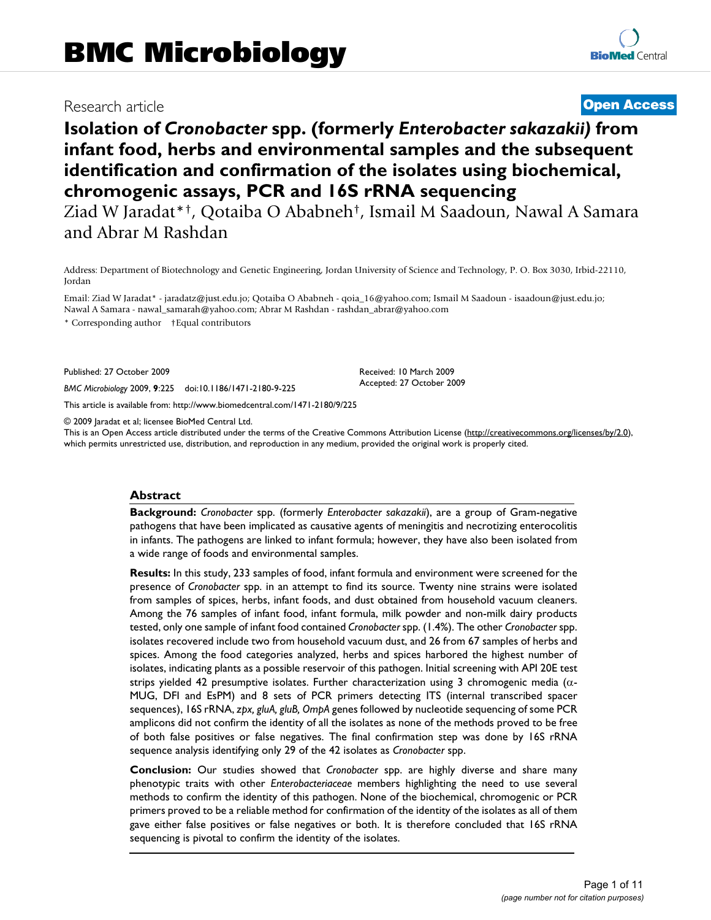## Research article **[Open Access](http://www.biomedcentral.com/info/about/charter/)**

# **Isolation of** *Cronobacter* **spp. (formerly** *Enterobacter sakazakii)* **from infant food, herbs and environmental samples and the subsequent identification and confirmation of the isolates using biochemical, chromogenic assays, PCR and 16S rRNA sequencing**

Ziad W Jaradat\*†, Qotaiba O Ababneh†, Ismail M Saadoun, Nawal A Samara and Abrar M Rashdan

Address: Department of Biotechnology and Genetic Engineering, Jordan University of Science and Technology, P. O. Box 3030, Irbid-22110, Jordan

Email: Ziad W Jaradat\* - jaradatz@just.edu.jo; Qotaiba O Ababneh - qoia\_16@yahoo.com; Ismail M Saadoun - isaadoun@just.edu.jo; Nawal A Samara - nawal\_samarah@yahoo.com; Abrar M Rashdan - rashdan\_abrar@yahoo.com \* Corresponding author †Equal contributors

Published: 27 October 2009

*BMC Microbiology* 2009, **9**:225 doi:10.1186/1471-2180-9-225

[This article is available from: http://www.biomedcentral.com/1471-2180/9/225](http://www.biomedcentral.com/1471-2180/9/225)

© 2009 Jaradat et al; licensee BioMed Central Ltd.

This is an Open Access article distributed under the terms of the Creative Commons Attribution License [\(http://creativecommons.org/licenses/by/2.0\)](http://creativecommons.org/licenses/by/2.0), which permits unrestricted use, distribution, and reproduction in any medium, provided the original work is properly cited.

Received: 10 March 2009 Accepted: 27 October 2009

#### **Abstract**

**Background:** *Cronobacter* spp. (formerly *Enterobacter sakazakii*), are a group of Gram-negative pathogens that have been implicated as causative agents of meningitis and necrotizing enterocolitis in infants. The pathogens are linked to infant formula; however, they have also been isolated from a wide range of foods and environmental samples.

**Results:** In this study, 233 samples of food, infant formula and environment were screened for the presence of *Cronobacter* spp. in an attempt to find its source. Twenty nine strains were isolated from samples of spices, herbs, infant foods, and dust obtained from household vacuum cleaners. Among the 76 samples of infant food, infant formula, milk powder and non-milk dairy products tested, only one sample of infant food contained *Cronobacter* spp. (1.4%). The other *Cronobacter* spp. isolates recovered include two from household vacuum dust, and 26 from 67 samples of herbs and spices. Among the food categories analyzed, herbs and spices harbored the highest number of isolates, indicating plants as a possible reservoir of this pathogen. Initial screening with API 20E test strips yielded 42 presumptive isolates. Further characterization using 3 chromogenic media ( $\alpha$ -MUG, DFI and EsPM) and 8 sets of PCR primers detecting ITS (internal transcribed spacer sequences), 16S rRNA, *zpx, gluA, gluB, OmpA* genes followed by nucleotide sequencing of some PCR amplicons did not confirm the identity of all the isolates as none of the methods proved to be free of both false positives or false negatives. The final confirmation step was done by 16S rRNA sequence analysis identifying only 29 of the 42 isolates as *Cronobacter* spp.

**Conclusion:** Our studies showed that *Cronobacter* spp. are highly diverse and share many phenotypic traits with other *Enterobacteriaceae* members highlighting the need to use several methods to confirm the identity of this pathogen. None of the biochemical, chromogenic or PCR primers proved to be a reliable method for confirmation of the identity of the isolates as all of them gave either false positives or false negatives or both. It is therefore concluded that 16S rRNA sequencing is pivotal to confirm the identity of the isolates.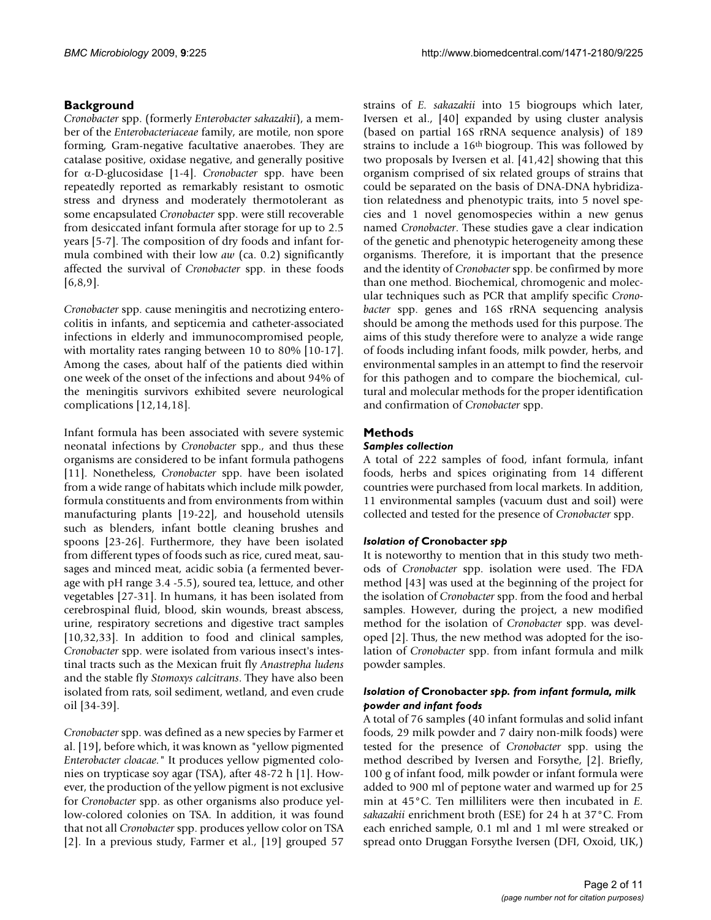### **Background**

*Cronobacter* spp. (formerly *Enterobacter sakazakii*), a member of the *Enterobacteriaceae* family, are motile, non spore forming, Gram-negative facultative anaerobes. They are catalase positive, oxidase negative, and generally positive for  $\alpha$ -D-glucosidase [[1-](#page-8-0)[4](#page-9-0)]. *Cronobacter* spp. have been repeatedly reported as remarkably resistant to osmotic stress and dryness and moderately thermotolerant as some encapsulated *Cronobacter* spp. were still recoverable from desiccated infant formula after storage for up to 2.5 years [\[5-](#page-9-1)[7](#page-9-2)]. The composition of dry foods and infant formula combined with their low *aw* (ca. 0.2) significantly affected the survival of *Cronobacter* spp. in these foods [[6](#page-9-3)[,8](#page-9-4)[,9\]](#page-9-5).

*Cronobacter* spp. cause meningitis and necrotizing enterocolitis in infants, and septicemia and catheter-associated infections in elderly and immunocompromised people, with mortality rates ranging between 10 to 80% [\[10](#page-9-6)[-17](#page-9-7)]. Among the cases, about half of the patients died within one week of the onset of the infections and about 94% of the meningitis survivors exhibited severe neurological complications [[12,](#page-9-8)[14](#page-9-9)[,18](#page-9-10)].

Infant formula has been associated with severe systemic neonatal infections by *Cronobacter* spp., and thus these organisms are considered to be infant formula pathogens [[11](#page-9-11)]. Nonetheless, *Cronobacter* spp. have been isolated from a wide range of habitats which include milk powder, formula constituents and from environments from within manufacturing plants [[19](#page-9-12)-[22](#page-9-13)], and household utensils such as blenders, infant bottle cleaning brushes and spoons [[23-](#page-9-14)[26](#page-9-15)]. Furthermore, they have been isolated from different types of foods such as rice, cured meat, sausages and minced meat, acidic sobia (a fermented beverage with pH range 3.4 -5.5), soured tea, lettuce, and other vegetables [\[27](#page-9-16)[-31](#page-9-17)]. In humans, it has been isolated from cerebrospinal fluid, blood, skin wounds, breast abscess, urine, respiratory secretions and digestive tract samples [[10](#page-9-6),[32](#page-9-18)[,33](#page-9-19)]. In addition to food and clinical samples, *Cronobacter* spp. were isolated from various insect's intestinal tracts such as the Mexican fruit fly *Anastrepha ludens* and the stable fly *Stomoxys calcitrans*. They have also been isolated from rats, soil sediment, wetland, and even crude oil [\[34](#page-9-20)[-39](#page-9-21)].

*Cronobacter* spp. was defined as a new species by Farmer et al. [[19\]](#page-9-12), before which, it was known as "yellow pigmented *Enterobacter cloacae."* It produces yellow pigmented colonies on trypticase soy agar (TSA), after 48-72 h [\[1\]](#page-8-0). However, the production of the yellow pigment is not exclusive for *Cronobacter* spp. as other organisms also produce yellow-colored colonies on TSA. In addition, it was found that not all *Cronobacter* spp. produces yellow color on TSA [[2\]](#page-8-1). In a previous study, Farmer et al., [\[19](#page-9-12)] grouped 57

strains of *E. sakazakii* into 15 biogroups which later, Iversen et al., [\[40](#page-9-22)] expanded by using cluster analysis (based on partial 16S rRNA sequence analysis) of 189 strains to include a 16th biogroup. This was followed by two proposals by Iversen et al. [\[41](#page-9-23),[42\]](#page-9-24) showing that this organism comprised of six related groups of strains that could be separated on the basis of DNA-DNA hybridization relatedness and phenotypic traits, into 5 novel species and 1 novel genomospecies within a new genus named *Cronobacter*. These studies gave a clear indication of the genetic and phenotypic heterogeneity among these organisms. Therefore, it is important that the presence and the identity of *Cronobacter* spp. be confirmed by more than one method. Biochemical, chromogenic and molecular techniques such as PCR that amplify specific *Cronobacter* spp. genes and 16S rRNA sequencing analysis should be among the methods used for this purpose. The aims of this study therefore were to analyze a wide range of foods including infant foods, milk powder, herbs, and environmental samples in an attempt to find the reservoir for this pathogen and to compare the biochemical, cultural and molecular methods for the proper identification and confirmation of *Cronobacter* spp.

### **Methods**

#### *Samples collection*

A total of 222 samples of food, infant formula, infant foods, herbs and spices originating from 14 different countries were purchased from local markets. In addition, 11 environmental samples (vacuum dust and soil) were collected and tested for the presence of *Cronobacter* spp.

#### *Isolation of* **Cronobacter** *spp*

It is noteworthy to mention that in this study two methods of *Cronobacter* spp. isolation were used. The FDA method [[43](#page-9-25)] was used at the beginning of the project for the isolation of *Cronobacter* spp. from the food and herbal samples. However, during the project, a new modified method for the isolation of *Cronobacter* spp. was developed [[2\]](#page-8-1). Thus, the new method was adopted for the isolation of *Cronobacter* spp. from infant formula and milk powder samples.

#### *Isolation of* **Cronobacter** *spp. from infant formula, milk powder and infant foods*

A total of 76 samples (40 infant formulas and solid infant foods, 29 milk powder and 7 dairy non-milk foods) were tested for the presence of *Cronobacter* spp. using the method described by Iversen and Forsythe, [[2](#page-8-1)]. Briefly, 100 g of infant food, milk powder or infant formula were added to 900 ml of peptone water and warmed up for 25 min at 45°C. Ten milliliters were then incubated in *E. sakazakii* enrichment broth (ESE) for 24 h at 37°C. From each enriched sample, 0.1 ml and 1 ml were streaked or spread onto Druggan Forsythe Iversen (DFI, Oxoid, UK,)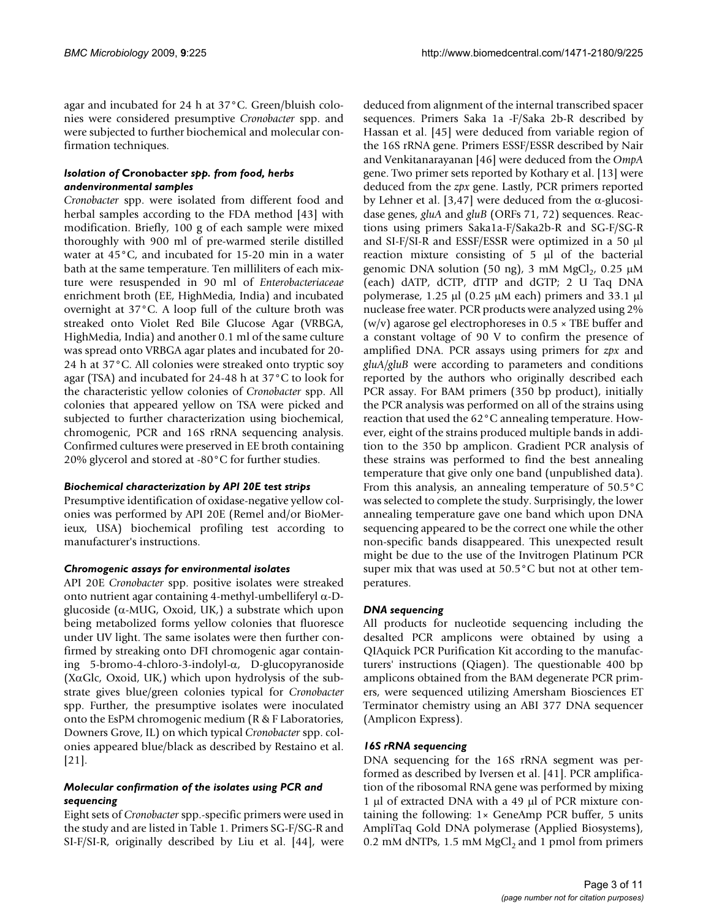agar and incubated for 24 h at 37°C. Green/bluish colonies were considered presumptive *Cronobacter* spp. and were subjected to further biochemical and molecular confirmation techniques.

#### *Isolation of* **Cronobacter** *spp. from food, herbs andenvironmental samples*

*Cronobacter* spp. were isolated from different food and herbal samples according to the FDA method [\[43](#page-9-25)] with modification. Briefly, 100 g of each sample were mixed thoroughly with 900 ml of pre-warmed sterile distilled water at 45°C, and incubated for 15-20 min in a water bath at the same temperature. Ten milliliters of each mixture were resuspended in 90 ml of *Enterobacteriaceae* enrichment broth (EE, HighMedia, India) and incubated overnight at 37°C. A loop full of the culture broth was streaked onto Violet Red Bile Glucose Agar (VRBGA, HighMedia, India) and another 0.1 ml of the same culture was spread onto VRBGA agar plates and incubated for 20- 24 h at 37°C. All colonies were streaked onto tryptic soy agar (TSA) and incubated for 24-48 h at 37°C to look for the characteristic yellow colonies of *Cronobacter* spp. All colonies that appeared yellow on TSA were picked and subjected to further characterization using biochemical, chromogenic, PCR and 16S rRNA sequencing analysis. Confirmed cultures were preserved in EE broth containing 20% glycerol and stored at -80°C for further studies.

#### *Biochemical characterization by API 20E test strips*

Presumptive identification of oxidase-negative yellow colonies was performed by API 20E (Remel and/or BioMerieux, USA) biochemical profiling test according to manufacturer's instructions.

#### *Chromogenic assays for environmental isolates*

API 20E *Cronobacter* spp. positive isolates were streaked onto nutrient agar containing 4-methyl-umbelliferyl  $\alpha$ -Dglucoside ( $\alpha$ -MUG, Oxoid, UK,) a substrate which upon being metabolized forms yellow colonies that fluoresce under UV light. The same isolates were then further confirmed by streaking onto DFI chromogenic agar containing  $5-b$ romo-4-chloro-3-indolyl- $\alpha$ , D-glucopyranoside (X $\alpha$ Glc, Oxoid, UK,) which upon hydrolysis of the substrate gives blue/green colonies typical for *Cronobacter* spp. Further, the presumptive isolates were inoculated onto the EsPM chromogenic medium (R & F Laboratories, Downers Grove, IL) on which typical *Cronobacter* spp. colonies appeared blue/black as described by Restaino et al. [[21](#page-9-26)].

#### *Molecular confirmation of the isolates using PCR and sequencing*

Eight sets of *Cronobacter* spp.-specific primers were used in the study and are listed in Table [1](#page-3-0). Primers SG-F/SG-R and SI-F/SI-R, originally described by Liu et al. [[44](#page-9-27)], were

deduced from alignment of the internal transcribed spacer sequences. Primers Saka 1a -F/Saka 2b-R described by Hassan et al. [[45\]](#page-9-28) were deduced from variable region of the 16S rRNA gene. Primers ESSF/ESSR described by Nair and Venkitanarayanan [\[46](#page-10-0)] were deduced from the *OmpA* gene. Two primer sets reported by Kothary et al. [[13\]](#page-9-29) were deduced from the *zpx* gene. Lastly, PCR primers reported by Lehner et al. [[3](#page-8-2),[47](#page-10-1)] were deduced from the  $\alpha$ -glucosidase genes, *gluA* and *gluB* (ORFs 71, 72) sequences. Reactions using primers Saka1a-F/Saka2b-R and SG-F/SG-R and SI-F/SI-R and ESSF/ESSR were optimized in a 50 µl reaction mixture consisting of  $5 \mu l$  of the bacterial genomic DNA solution (50 ng), 3 mM  $MgCl<sub>2</sub>$ , 0.25  $\mu$ M (each) dATP, dCTP, dTTP and dGTP; 2 U Taq DNA polymerase, 1.25  $\mu$ l (0.25  $\mu$ M each) primers and 33.1  $\mu$ l nuclease free water. PCR products were analyzed using 2% (w/v) agarose gel electrophoreses in  $0.5 \times$  TBE buffer and a constant voltage of 90 V to confirm the presence of amplified DNA. PCR assays using primers for *zpx* and *gluA/gluB* were according to parameters and conditions reported by the authors who originally described each PCR assay. For BAM primers (350 bp product), initially the PCR analysis was performed on all of the strains using reaction that used the 62°C annealing temperature. However, eight of the strains produced multiple bands in addition to the 350 bp amplicon. Gradient PCR analysis of these strains was performed to find the best annealing temperature that give only one band (unpublished data). From this analysis, an annealing temperature of 50.5°C was selected to complete the study. Surprisingly, the lower annealing temperature gave one band which upon DNA sequencing appeared to be the correct one while the other non-specific bands disappeared. This unexpected result might be due to the use of the Invitrogen Platinum PCR super mix that was used at 50.5°C but not at other temperatures.

#### *DNA sequencing*

All products for nucleotide sequencing including the desalted PCR amplicons were obtained by using a QIAquick PCR Purification Kit according to the manufacturers' instructions (Qiagen). The questionable 400 bp amplicons obtained from the BAM degenerate PCR primers, were sequenced utilizing Amersham Biosciences ET Terminator chemistry using an ABI 377 DNA sequencer (Amplicon Express).

#### *16S rRNA sequencing*

DNA sequencing for the 16S rRNA segment was performed as described by Iversen et al. [\[41](#page-9-23)]. PCR amplification of the ribosomal RNA gene was performed by mixing 1  $\mu$ l of extracted DNA with a 49  $\mu$ l of PCR mixture containing the following:  $1 \times$  GeneAmp PCR buffer, 5 units AmpliTaq Gold DNA polymerase (Applied Biosystems), 0.2 mM dNTPs, 1.5 mM MgCl<sub>2</sub> and 1 pmol from primers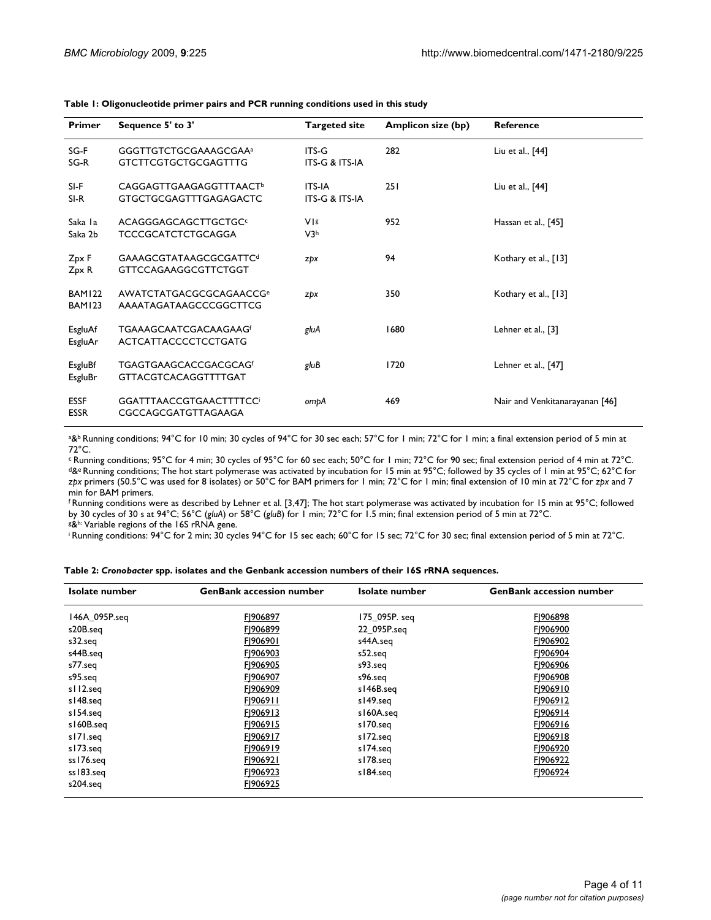| <b>Primer</b>              | Sequence 5' to 3'                                                          | <b>Targeted site</b>                       | <b>Amplicon size (bp)</b> | <b>Reference</b>               |
|----------------------------|----------------------------------------------------------------------------|--------------------------------------------|---------------------------|--------------------------------|
| SG-F<br>SG-R               | GGGTTGTCTGCGAAAGCGAA <sup>a</sup><br><b>GTCTTCGTGCTGCGAGTTTG</b>           | $ITS-G$<br><b>ITS-G &amp; ITS-IA</b>       | 282                       | Liu et al., [44]               |
| SI-F<br>SI-R               | <b>CAGGAGTTGAAGAGGTTTAACT<sup>b</sup></b><br><b>GTGCTGCGAGTTTGAGAGACTC</b> | <b>ITS-IA</b><br><b>ITS-G &amp; ITS-IA</b> | <b>251</b>                | Liu et al., [44]               |
| Saka la<br>Saka 2b         | ACAGGGAGCAGCTTGCTGC<br><b>TCCCGCATCTCTGCAGGA</b>                           | VIs<br>V3h                                 | 952                       | Hassan et al., [45]            |
| Zpx F<br>Zpx R             | GAAAGCGTATAAGCGCGATTC <sup>d</sup><br><b>GTTCCAGAAGGCGTTCTGGT</b>          | zpx                                        | 94                        | Kothary et al., [13]           |
| <b>BAM122</b><br>BAM123    | AWATCTATGACGCGCAGAACCG <sup>e</sup><br>AAAATAGATAAGCCCGGCTTCG              | zpx                                        | 350                       | Kothary et al., [13]           |
| EsgluAf<br>EsgluAr         | <b>TGAAAGCAATCGACAAGAAGf</b><br><b>ACTCATTACCCCTCCTGATG</b>                | gluA                                       | 1680                      | Lehner et al., [3]             |
| EsgluBf<br>EsgluBr         | <b>TGAGTGAAGCACCGACGCAGf</b><br><b>GTTACGTCACAGGTTTTGAT</b>                | gluB                                       | 1720                      | Lehner et al., [47]            |
| <b>ESSF</b><br><b>ESSR</b> | <b>GGATTTAACCGTGAACTTTTCC</b><br>CGCCAGCGATGTTAGAAGA                       | ompA                                       | 469                       | Nair and Venkitanarayanan [46] |

<span id="page-3-0"></span>**Table 1: Oligonucleotide primer pairs and PCR running conditions used in this study**

a&<sup>b</sup> Running conditions; 94°C for 10 min; 30 cycles of 94°C for 30 sec each; 57°C for 1 min; 72°C for 1 min; a final extension period of 5 min at 72°C.

c Running conditions; 95°C for 4 min; 30 cycles of 95°C for 60 sec each; 50°C for 1 min; 72°C for 90 sec; final extension period of 4 min at 72°C. d&e Running conditions; The hot start polymerase was activated by incubation for 15 min at 95°C; followed by 35 cycles of 1 min at 95°C; 62°C for *zpx* primers (50.5°C was used for 8 isolates) or 50°C for BAM primers for 1 min; 72°C for 1 min; final extension of 10 min at 72°C for *zpx* and 7 min for BAM primers.

f Running conditions were as described by Lehner et al. [[3,](#page-8-2)[47](#page-10-1)]; The hot start polymerase was activated by incubation for 15 min at 95°C; followed by 30 cycles of 30 s at 94°C; 56°C (*gluA*) or 58°C (*gluB*) for 1 min; 72°C for 1.5 min; final extension period of 5 min at 72°C. g&h: Variable regions of the 16S rRNA gene.

i Running conditions: 94°C for 2 min; 30 cycles 94°C for 15 sec each; 60°C for 15 sec; 72°C for 30 sec; final extension period of 5 min at 72°C.

<span id="page-3-1"></span>

|  |  | Table 2: Cronobacter spp. isolates and the Genbank accession numbers of their 16S rRNA sequences. |
|--|--|---------------------------------------------------------------------------------------------------|
|  |  |                                                                                                   |

| Isolate number | <b>GenBank accession number</b> | Isolate number | <b>GenBank accession number</b> |
|----------------|---------------------------------|----------------|---------------------------------|
| 146A_095P.seq  | F1906897                        | 175 095P. seg  | F1906898                        |
| s20B.seq       | F1906899                        | 22_095P.seq    | F1906900                        |
| s32.seq        | F1906901                        | s44A.seg       | F1906902                        |
| s44B.seq       | F1906903                        | s52.seq        | F1906904                        |
| s77.seq        | F1906905                        | s93.seq        | F1906906                        |
| s95.seq        | F1906907                        | s96.seq        | F1906908                        |
| s112.seq       | F1906909                        | s146B.seq      | F1906910                        |
| s148.seq       | F1906911                        | s149.seq       | F1906912                        |
| s154.seq       | F1906913                        | s160A.seq      | F1906914                        |
| s160B.seq      | F1906915                        | s170.seg       | F1906916                        |
| s171.seg       | F1906917                        | s172.seq       | F1906918                        |
| s173.seq       | F1906919                        | s174.seq       | F1906920                        |
| ss176.seq      | F1906921                        | s178.seq       | F1906922                        |
| ss183.seq      | F1906923                        | s184.seq       | F1906924                        |
| s204.seg       | F1906925                        |                |                                 |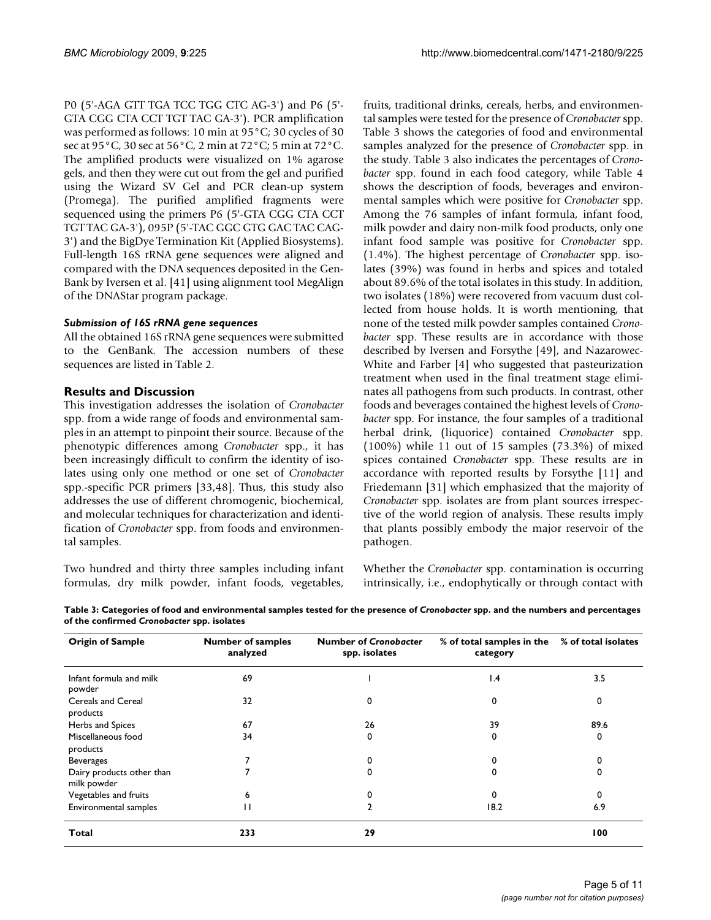P0 (5'-AGA GTT TGA TCC TGG CTC AG-3') and P6 (5'- GTA CGG CTA CCT TGT TAC GA-3'). PCR amplification was performed as follows: 10 min at 95°C; 30 cycles of 30 sec at 95°C, 30 sec at 56°C, 2 min at 72°C; 5 min at 72°C. The amplified products were visualized on 1% agarose gels, and then they were cut out from the gel and purified using the Wizard SV Gel and PCR clean-up system (Promega). The purified amplified fragments were sequenced using the primers P6 (5'-GTA CGG CTA CCT TGT TAC GA-3'), 095P (5'-TAC GGC GTG GAC TAC CAG-3') and the BigDye Termination Kit (Applied Biosystems). Full-length 16S rRNA gene sequences were aligned and compared with the DNA sequences deposited in the Gen-Bank by Iversen et al. [\[41](#page-9-23)] using alignment tool MegAlign of the DNAStar program package.

#### *Submission of 16S rRNA gene sequences*

All the obtained 16S rRNA gene sequences were submitted to the GenBank. The accession numbers of these sequences are listed in Table [2](#page-3-1).

#### **Results and Discussion**

This investigation addresses the isolation of *Cronobacter* spp. from a wide range of foods and environmental samples in an attempt to pinpoint their source. Because of the phenotypic differences among *Cronobacter* spp., it has been increasingly difficult to confirm the identity of isolates using only one method or one set of *Cronobacter* spp.-specific PCR primers [\[33](#page-9-19),[48](#page-10-2)]. Thus, this study also addresses the use of different chromogenic, biochemical, and molecular techniques for characterization and identification of *Cronobacter* spp. from foods and environmental samples.

Two hundred and thirty three samples including infant formulas, dry milk powder, infant foods, vegetables,

fruits, traditional drinks, cereals, herbs, and environmental samples were tested for the presence of *Cronobacter* spp. Table [3](#page-4-0) shows the categories of food and environmental samples analyzed for the presence of *Cronobacter* spp. in the study. Table [3](#page-4-0) also indicates the percentages of *Cronobacter* spp. found in each food category, while Table [4](#page-5-0) shows the description of foods, beverages and environmental samples which were positive for *Cronobacter* spp. Among the 76 samples of infant formula, infant food, milk powder and dairy non-milk food products, only one infant food sample was positive for *Cronobacter* spp. (1.4%). The highest percentage of *Cronobacter* spp. isolates (39%) was found in herbs and spices and totaled about 89.6% of the total isolates in this study. In addition, two isolates (18%) were recovered from vacuum dust collected from house holds. It is worth mentioning, that none of the tested milk powder samples contained *Cronobacter* spp. These results are in accordance with those described by Iversen and Forsythe [\[49\]](#page-10-3), and Nazarowec-White and Farber [\[4\]](#page-9-0) who suggested that pasteurization treatment when used in the final treatment stage eliminates all pathogens from such products. In contrast, other foods and beverages contained the highest levels of *Cronobacter* spp. For instance, the four samples of a traditional herbal drink, (liquorice) contained *Cronobacter* spp. (100%) while 11 out of 15 samples (73.3%) of mixed spices contained *Cronobacter* spp. These results are in accordance with reported results by Forsythe [\[11\]](#page-9-11) and Friedemann [\[31](#page-9-17)] which emphasized that the majority of *Cronobacter* spp. isolates are from plant sources irrespective of the world region of analysis. These results imply that plants possibly embody the major reservoir of the pathogen.

Whether the *Cronobacter* spp. contamination is occurring intrinsically, i.e., endophytically or through contact with

| <b>Origin of Sample</b>                  | <b>Number of samples</b><br>analyzed | <b>Number of Cronobacter</b><br>spp. isolates | % of total samples in the<br>category | % of total isolates |
|------------------------------------------|--------------------------------------|-----------------------------------------------|---------------------------------------|---------------------|
| Infant formula and milk<br>powder        | 69                                   |                                               | $\mathsf{I}$ .4                       | 3.5                 |
| Cereals and Cereal<br>products           | 32                                   | 0                                             | 0                                     | 0                   |
| Herbs and Spices                         | 67                                   | 26                                            | 39                                    | 89.6                |
| Miscellaneous food<br>products           | 34                                   | 0                                             | 0                                     | 0                   |
| <b>Beverages</b>                         |                                      | 0                                             | 0                                     |                     |
| Dairy products other than<br>milk powder |                                      | 0                                             | 0                                     |                     |
| Vegetables and fruits                    | 6                                    |                                               | $\Omega$                              | 0                   |
| Environmental samples                    | $\mathbf{H}$                         |                                               | 18.2                                  | 6.9                 |
| Total                                    | 233                                  | 29                                            |                                       | 100                 |

<span id="page-4-0"></span>**Table 3: Categories of food and environmental samples tested for the presence of** *Cronobacter* **spp. and the numbers and percentages of the confirmed** *Cronobacter* **spp. isolates**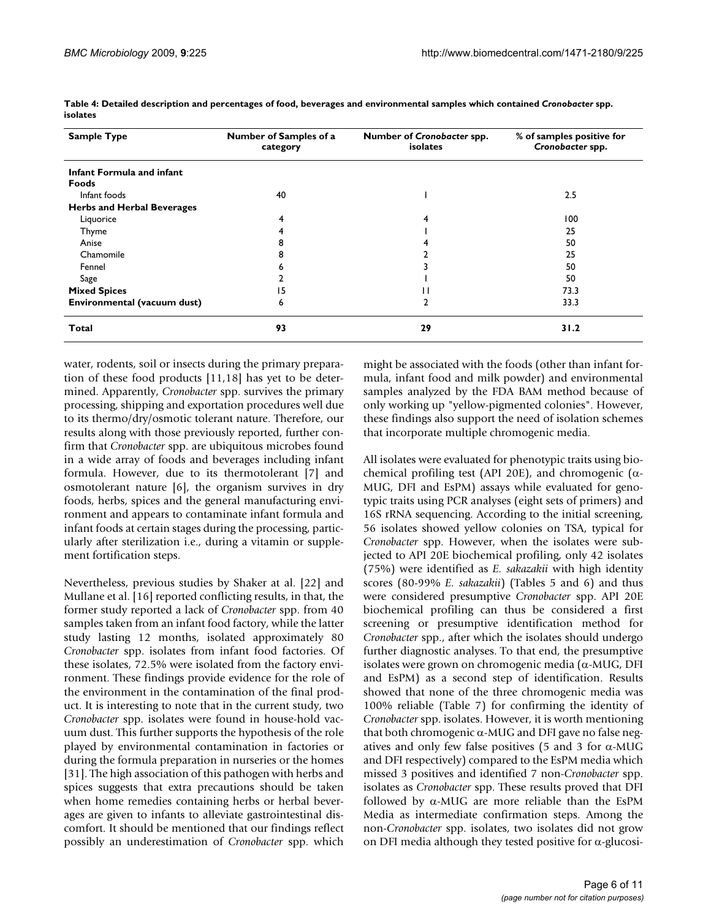| <b>Sample Type</b>                | Number of Samples of a<br>category | Number of Cronobacter spp.<br>isolates | % of samples positive for<br>Cronobacter spp. |  |  |
|-----------------------------------|------------------------------------|----------------------------------------|-----------------------------------------------|--|--|
| Infant Formula and infant         |                                    |                                        |                                               |  |  |
| Foods                             |                                    |                                        |                                               |  |  |
| Infant foods                      | 40                                 |                                        | 2.5                                           |  |  |
| <b>Herbs and Herbal Beverages</b> |                                    |                                        |                                               |  |  |
| Liquorice                         | 4                                  | 4                                      | 100                                           |  |  |
| Thyme                             |                                    |                                        | 25                                            |  |  |
| Anise                             | 8                                  |                                        | 50                                            |  |  |
| Chamomile                         | 8                                  |                                        | 25                                            |  |  |
| Fennel                            | n                                  |                                        | 50                                            |  |  |
| Sage                              |                                    |                                        | 50                                            |  |  |
| <b>Mixed Spices</b>               | 15                                 | ш                                      | 73.3                                          |  |  |
| Environmental (vacuum dust)       | 6                                  | $\overline{2}$                         | 33.3                                          |  |  |
| Total                             | 93                                 | 29                                     | 31.2                                          |  |  |

<span id="page-5-0"></span>**Table 4: Detailed description and percentages of food, beverages and environmental samples which contained** *Cronobacter* **spp. isolates**

water, rodents, soil or insects during the primary preparation of these food products [[11](#page-9-11)[,18](#page-9-10)] has yet to be determined. Apparently, *Cronobacter* spp. survives the primary processing, shipping and exportation procedures well due to its thermo/dry/osmotic tolerant nature. Therefore, our results along with those previously reported, further confirm that *Cronobacter* spp. are ubiquitous microbes found in a wide array of foods and beverages including infant formula. However, due to its thermotolerant [[7](#page-9-2)] and osmotolerant nature [[6](#page-9-3)], the organism survives in dry foods, herbs, spices and the general manufacturing environment and appears to contaminate infant formula and infant foods at certain stages during the processing, particularly after sterilization i.e., during a vitamin or supplement fortification steps.

Nevertheless, previous studies by Shaker at al. [\[22\]](#page-9-13) and Mullane et al. [[16](#page-9-30)] reported conflicting results, in that, the former study reported a lack of *Cronobacter* spp. from 40 samples taken from an infant food factory, while the latter study lasting 12 months, isolated approximately 80 *Cronobacter* spp. isolates from infant food factories. Of these isolates, 72.5% were isolated from the factory environment. These findings provide evidence for the role of the environment in the contamination of the final product. It is interesting to note that in the current study, two *Cronobacter* spp. isolates were found in house-hold vacuum dust. This further supports the hypothesis of the role played by environmental contamination in factories or during the formula preparation in nurseries or the homes [[31](#page-9-17)]. The high association of this pathogen with herbs and spices suggests that extra precautions should be taken when home remedies containing herbs or herbal beverages are given to infants to alleviate gastrointestinal discomfort. It should be mentioned that our findings reflect possibly an underestimation of *Cronobacter* spp. which

might be associated with the foods (other than infant formula, infant food and milk powder) and environmental samples analyzed by the FDA BAM method because of only working up "yellow-pigmented colonies". However, these findings also support the need of isolation schemes that incorporate multiple chromogenic media.

All isolates were evaluated for phenotypic traits using biochemical profiling test (API 20E), and chromogenic ( $\alpha$ -MUG, DFI and EsPM) assays while evaluated for genotypic traits using PCR analyses (eight sets of primers) and 16S rRNA sequencing. According to the initial screening, 56 isolates showed yellow colonies on TSA, typical for *Cronobacter* spp. However, when the isolates were subjected to API 20E biochemical profiling, only 42 isolates (75%) were identified as *E. sakazakii* with high identity scores (80-99% *E. sakazakii*) (Tables [5](#page-6-0) and [6](#page-7-0)) and thus were considered presumptive *Cronobacter* spp. API 20E biochemical profiling can thus be considered a first screening or presumptive identification method for *Cronobacter* spp., after which the isolates should undergo further diagnostic analyses. To that end, the presumptive isolates were grown on chromogenic media ( $\alpha$ -MUG, DFI and EsPM) as a second step of identification. Results showed that none of the three chromogenic media was 100% reliable (Table [7\)](#page-7-1) for confirming the identity of *Cronobacter* spp. isolates. However, it is worth mentioning that both chromogenic  $\alpha$ -MUG and DFI gave no false negatives and only few false positives (5 and 3 for  $\alpha$ -MUG and DFI respectively) compared to the EsPM media which missed 3 positives and identified 7 non-*Cronobacter* spp. isolates as *Cronobacter* spp. These results proved that DFI followed by  $\alpha$ -MUG are more reliable than the EsPM Media as intermediate confirmation steps. Among the non-*Cronobacter* spp. isolates, two isolates did not grow on DFI media although they tested positive for  $\alpha$ -glucosi-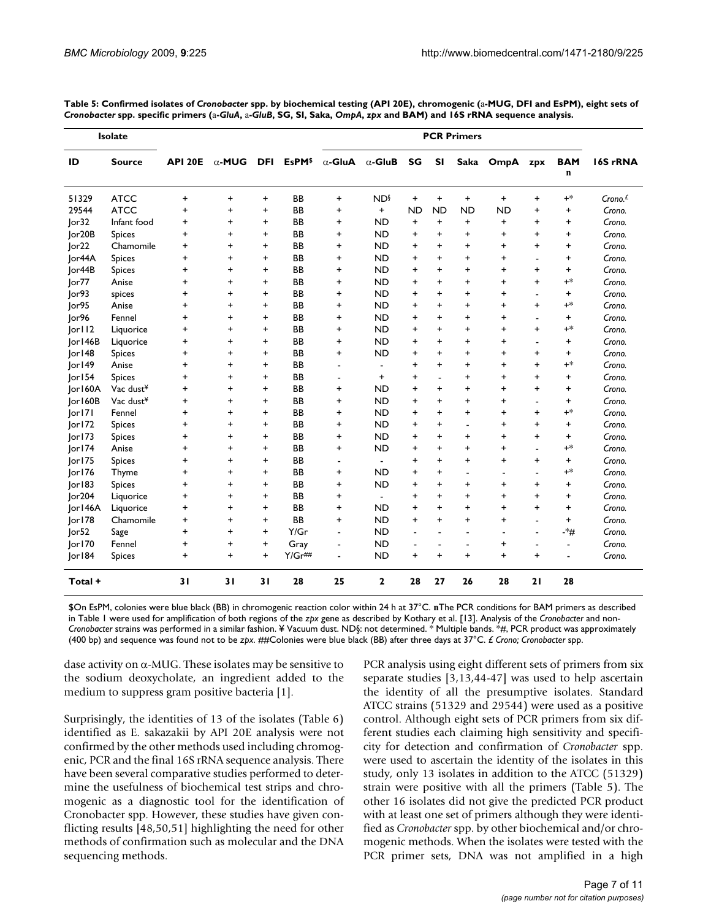|                     | Isolate               |                |               |            |                    | <b>PCR Primers</b>       |                        |           |                          |                |                |                          |                 |                     |
|---------------------|-----------------------|----------------|---------------|------------|--------------------|--------------------------|------------------------|-----------|--------------------------|----------------|----------------|--------------------------|-----------------|---------------------|
| ID                  | <b>Source</b>         | <b>API 20E</b> | $\alpha$ -MUG | <b>DFI</b> | EsPM <sup>\$</sup> | $\alpha$ -GluA           | $\alpha$ -GluB         | SG        | <b>SI</b>                | Saka           | OmpA           | zpx                      | <b>BAM</b><br>n | 16S rRNA            |
| 51329               | <b>ATCC</b>           | $\ddot{}$      | +             | +          | <b>BB</b>          | $\ddot{}$                | <b>ND</b> <sup>§</sup> | +         | $\ddot{}$                | $\ddot{}$      | $\ddot{}$      | $\ddot{}$                | $+$ *           | Crono. <sup>£</sup> |
| 29544               | <b>ATCC</b>           | $\ddot{}$      | $\ddot{}$     | $\ddot{}$  | <b>BB</b>          | $\ddot{}$                | $\ddot{}$              | <b>ND</b> | <b>ND</b>                | <b>ND</b>      | <b>ND</b>      | $\ddot{}$                | $\ddot{}$       | Crono.              |
| Ior32               | Infant food           | +              | +             | $\ddot{}$  | <b>BB</b>          | $\ddot{}$                | <b>ND</b>              | +         | $\ddot{}$                | +              | $\ddot{}$      | $\ddot{}$                | +               | Crono.              |
| lor <sub>20</sub> B | <b>Spices</b>         | $\ddot{}$      | $\ddot{}$     | $\ddot{}$  | BB                 | $\ddot{}$                | <b>ND</b>              | $\ddot{}$ | $\ddot{}$                | $\ddot{}$      | $\ddot{}$      | $\ddot{}$                | $\ddot{}$       | Crono.              |
| Jor22               | Chamomile             | $\ddot{}$      | $\ddot{}$     | $\ddot{}$  | BB                 | +                        | <b>ND</b>              | $\ddot{}$ | $\ddot{}$                | +              | +              | $\ddot{}$                | $\ddot{}$       | Crono.              |
| Jor44A              | <b>Spices</b>         | $\ddot{}$      | $\ddot{}$     | $\ddot{}$  | BB                 | $\ddot{}$                | <b>ND</b>              | $\ddot{}$ | $\ddot{}$                | $\ddot{}$      | $\ddot{}$      | $\blacksquare$           | $\ddot{}$       | Crono.              |
| Jor44B              | <b>Spices</b>         | $\ddot{}$      | $\ddot{}$     | $\ddot{}$  | BB                 | +                        | <b>ND</b>              | +         | $\ddot{}$                | +              | $\ddot{}$      | +                        | $\ddot{}$       | Crono.              |
| or77                | Anise                 | $\ddot{}$      | $\ddot{}$     | $\ddot{}$  | BB                 | $\ddot{}$                | <b>ND</b>              | +         | $\ddot{}$                | $\ddot{}$      | $\ddot{}$      | $\ddot{}$                | $^{+*}$         | Crono.              |
| or93                | spices                | +              | +             | $\ddot{}$  | <b>BB</b>          | $\ddot{}$                | <b>ND</b>              | $\ddot{}$ | $\ddot{}$                | $\ddot{}$      | +              | $\blacksquare$           | +               | Crono.              |
| lor95               | Anise                 | +              | $\ddot{}$     | $\ddot{}$  | <b>BB</b>          | +                        | <b>ND</b>              | $\ddot{}$ | $\ddot{}$                | $\ddot{}$      | $\ddot{}$      | $\ddot{}$                | $+$ *           | Crono.              |
| or96                | Fennel                | $\ddot{}$      | $\ddot{}$     | $\ddot{}$  | BB                 | $\ddot{}$                | <b>ND</b>              | $\ddot{}$ | $\ddot{}$                | $\ddot{}$      | $\ddot{}$      | $\blacksquare$           | $\ddot{}$       | Crono.              |
| or  12              | Liquorice             | $\ddot{}$      | $\ddot{}$     | $\ddot{}$  | <b>BB</b>          | $\ddot{}$                | <b>ND</b>              | $\ddot{}$ | $\ddot{}$                | +              | $\ddot{}$      | $\ddot{}$                | $+^*$           | Crono.              |
| Jor146B             | Liquorice             | $\ddot{}$      | $\ddot{}$     | $\ddot{}$  | <b>BB</b>          | $\ddot{}$                | <b>ND</b>              | $\ddot{}$ | $\ddot{}$                | $\ddot{}$      | $\ddot{}$      | $\overline{a}$           | $\ddot{}$       | Crono.              |
| or 48               | <b>Spices</b>         | $\ddot{}$      | $\ddot{}$     | $\ddot{}$  | <b>BB</b>          | +                        | ND                     | +         | $\ddot{}$                | +              | $\ddot{}$      | $\ddot{}$                | $\ddot{}$       | Crono.              |
| or 49               | Anise                 | $\ddot{}$      | +             | $\ddot{}$  | <b>BB</b>          | $\blacksquare$           | $\blacksquare$         | $\ddot{}$ | $\ddot{}$                | $\ddot{}$      | $\ddot{}$      | $\ddot{}$                | $^{+*}$         | Crono.              |
| or154               | <b>Spices</b>         | $\ddot{}$      | +             | $\ddot{}$  | <b>BB</b>          | $\blacksquare$           | $\ddot{}$              | $\ddot{}$ | $\blacksquare$           | +              | +              | $\ddot{}$                | +               | Crono.              |
| lor160A             | Vac dust¥             | $\ddot{}$      | $\ddot{}$     | $\ddot{}$  | BB                 | +                        | <b>ND</b>              | $\ddot{}$ | $\ddot{}$                | $\ddot{}$      | $\ddot{}$      | $\ddot{}$                | $\ddot{}$       | Crono.              |
| Jor160B             | Vac dust <sup>¥</sup> | $\ddot{}$      | $\ddot{}$     | $\ddot{}$  | BB                 | +                        | <b>ND</b>              | $\ddot{}$ | $\ddot{}$                | $\ddot{}$      | $\ddot{}$      | $\blacksquare$           | $\ddot{}$       | Crono.              |
| or 7                | Fennel                | $\ddot{}$      | $\ddot{}$     | $\ddot{}$  | BB                 | $\ddot{}$                | <b>ND</b>              | $\ddot{}$ | $\ddot{}$                | $\ddot{}$      | $\ddot{}$      | $\ddot{}$                | $+^*$           | Crono.              |
| or 72               | <b>Spices</b>         | $\ddot{}$      | +             | $\ddot{}$  | <b>BB</b>          | $\ddot{}$                | <b>ND</b>              | $\ddot{}$ | $\ddot{}$                |                | $\ddot{}$      | $\ddot{}$                | $\ddot{}$       | Crono.              |
| or 73               | <b>Spices</b>         | $\ddot{}$      | $\ddot{}$     | $\ddot{}$  | <b>BB</b>          | $\ddot{}$                | <b>ND</b>              | $\ddot{}$ | $\ddot{}$                | $\ddot{}$      | $\ddot{}$      | $\ddot{}$                | $\ddot{}$       | Crono.              |
| or 74               | Anise                 | $\ddot{}$      | $\ddot{}$     | $\ddot{}$  | <b>BB</b>          | $\ddot{}$                | <b>ND</b>              | $\ddot{}$ | $\ddot{}$                | $\ddot{}$      | +              | $\blacksquare$           | $+$ *           | Crono.              |
| Jor175              | <b>Spices</b>         | +              | +             | $\ddot{}$  | <b>BB</b>          | $\blacksquare$           | $\blacksquare$         | +         | $\ddot{}$                | +              | +              | $\ddot{}$                | +               | Crono.              |
| or 76               | Thyme                 | $\ddot{}$      | $\ddot{}$     | $\ddot{}$  | BB                 | $\ddot{}$                | <b>ND</b>              | $\ddot{}$ | $\ddot{}$                | ÷              | $\blacksquare$ | $\blacksquare$           | $+^*$           | Crono.              |
| or183               | <b>Spices</b>         | $\ddot{}$      | +             | $\ddot{}$  | BB                 | +                        | ND                     | $\ddot{}$ | $\ddot{}$                | $\ddot{}$      | +              | $\ddot{}$                | $\ddot{}$       | Crono.              |
| or204               | Liquorice             | +              | $\ddot{}$     | $\ddot{}$  | BB                 | +                        | $\blacksquare$         | +         | $\ddot{}$                | $\ddot{}$      | +              | $\ddot{}$                | +               | Crono.              |
| Jor146A             | Liquorice             | $\ddot{}$      | $\ddot{}$     | $\ddot{}$  | <b>BB</b>          | $\ddot{}$                | <b>ND</b>              | $\ddot{}$ | $\ddot{}$                | $\ddot{}$      | $\ddot{}$      | $\ddot{}$                | $\ddot{}$       | Crono.              |
| or 78               | Chamomile             | $\ddot{}$      | $\ddot{}$     | $\ddot{}$  | <b>BB</b>          | $\ddot{}$                | <b>ND</b>              | $\ddot{}$ | $\ddot{}$                | $\ddot{}$      | $\ddot{}$      | $\blacksquare$           | $\ddot{}$       | Crono.              |
| Jor52               | Sage                  | $\ddot{}$      | $\ddot{}$     | $\ddot{}$  | Y/Gr               |                          | <b>ND</b>              |           | $\blacksquare$           | $\blacksquare$ | ÷,             |                          | -*#             | Crono.              |
| or 70               | Fennel                | $\ddot{}$      | $\ddot{}$     | $\ddot{}$  | Gray               | $\overline{\phantom{a}}$ | <b>ND</b>              |           | $\overline{\phantom{a}}$ | ÷              | $\ddot{}$      | $\overline{\phantom{a}}$ | $\sim$          | Crono.              |
| or184               | <b>Spices</b>         | $\ddot{}$      | $\ddot{}$     | $+$        | $Y/Gr$ ##          | $\blacksquare$           | <b>ND</b>              | $\ddot{}$ | $\ddot{}$                | $\ddot{}$      | $\ddot{}$      | $\ddot{}$                | $\overline{a}$  | Crono.              |
| Total +             |                       | 31             | 31            | 31         | 28                 | 25                       | $\mathbf{2}$           | 28        | 27                       | 26             | 28             | 21                       | 28              |                     |

<span id="page-6-0"></span>**Table 5: Confirmed isolates of** *Cronobacter* **spp. by biochemical testing (API 20E), chromogenic (**a**-MUG, DFI and EsPM), eight sets of**  *Cronobacter* **spp. specific primers (**a**-***GluA***,** a**-***GluB***, SG, SI, Saka,** *OmpA***,** *zpx* **and BAM) and 16S rRNA sequence analysis.**

\$On EsPM, colonies were blue black (BB) in chromogenic reaction color within 24 h at 37°C. **n**The PCR conditions for BAM primers as described in Table 1 were used for amplification of both regions of the *zpx* gene as described by Kothary et al. [[13](#page-9-29)]. Analysis of the *Cronobacter* and non-*Cronobacter* strains was performed in a similar fashion. ¥ Vacuum dust. ND§: not determined. \* Multiple bands. \*#, PCR product was approximately (400 bp) and sequence was found not to be *zpx*. ##Colonies were blue black (BB) after three days at 37°C. *£ Crono; Cronobacter* spp.

dase activity on  $\alpha$ -MUG. These isolates may be sensitive to the sodium deoxycholate, an ingredient added to the medium to suppress gram positive bacteria [[1](#page-8-0)].

Surprisingly, the identities of 13 of the isolates (Table [6](#page-7-0)) identified as E. sakazakii by API 20E analysis were not confirmed by the other methods used including chromogenic, PCR and the final 16S rRNA sequence analysis. There have been several comparative studies performed to determine the usefulness of biochemical test strips and chromogenic as a diagnostic tool for the identification of Cronobacter spp. However, these studies have given conflicting results [[48,](#page-10-2)[50](#page-10-4)[,51](#page-10-5)] highlighting the need for other methods of confirmation such as molecular and the DNA sequencing methods.

PCR analysis using eight different sets of primers from six separate studies [\[3,](#page-8-2)[13](#page-9-29)[,44](#page-9-27)[-47](#page-10-1)] was used to help ascertain the identity of all the presumptive isolates. Standard ATCC strains (51329 and 29544) were used as a positive control. Although eight sets of PCR primers from six different studies each claiming high sensitivity and specificity for detection and confirmation of *Cronobacter* spp. were used to ascertain the identity of the isolates in this study, only 13 isolates in addition to the ATCC (51329) strain were positive with all the primers (Table [5](#page-6-0)). The other 16 isolates did not give the predicted PCR product with at least one set of primers although they were identified as *Cronobacter* spp. by other biochemical and/or chromogenic methods. When the isolates were tested with the PCR primer sets, DNA was not amplified in a high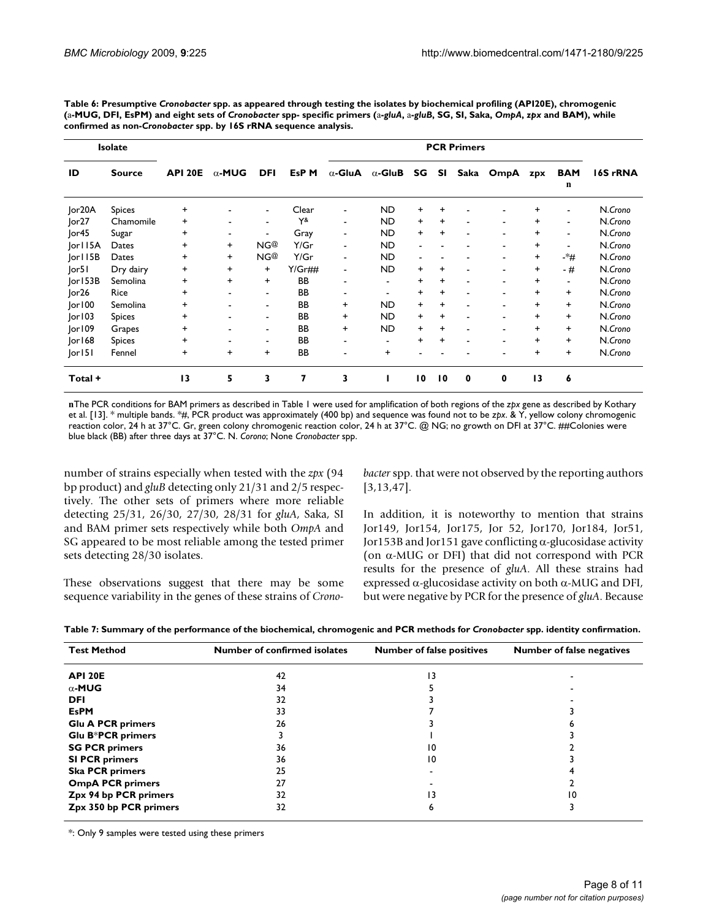<span id="page-7-0"></span>**Table 6: Presumptive** *Cronobacter* **spp. as appeared through testing the isolates by biochemical profiling (API20E), chromogenic**  (a-MUG, DFI, EsPM) and eight sets of Cronobacter spp- specific primers (a-gluA, a-gluB, SG, SI, Saka, OmpA, zpx and BAM), while **confirmed as non-***Cronobacter* **spp. by 16S rRNA sequence analysis.**

|         | <b>Isolate</b> |                |                          |                          |                  | <b>PCR Primers</b>       |                |                          |                 |             |                          |           |                 |          |
|---------|----------------|----------------|--------------------------|--------------------------|------------------|--------------------------|----------------|--------------------------|-----------------|-------------|--------------------------|-----------|-----------------|----------|
| ID      | <b>Source</b>  | <b>API 20E</b> | $\alpha$ -MUG            | <b>DFI</b>               | EsP <sub>M</sub> | $\alpha$ -GluA           | $\alpha$ -GluB | SG                       | <b>SI</b>       | Saka        | OmpA                     | zpx       | <b>BAM</b><br>n | 16S rRNA |
| Jor20A  | Spices         | $\ddot{}$      | ٠                        | $\overline{\phantom{0}}$ | Clear            | $\overline{\phantom{a}}$ | <b>ND</b>      | $\ddot{}$                | $\ddot{}$       |             |                          | +         | ÷.              | N.Crono  |
| or27    | Chamomile      | $\ddot{}$      | $\overline{\phantom{a}}$ | $\blacksquare$           | $Y^{\&}$         | $\blacksquare$           | <b>ND</b>      | $\ddot{}$                | $\ddot{}$       |             | $\overline{\phantom{a}}$ | +         | $\blacksquare$  | N.Crono  |
| Ior45   | Sugar          | +              | $\overline{\phantom{a}}$ | $\overline{\phantom{a}}$ | Gray             | $\blacksquare$           | <b>ND</b>      | $\ddot{}$                | +               |             | $\overline{\phantom{a}}$ | $\ddot{}$ | ۰.              | N.Crono  |
| or115A  | Dates          | $\ddot{}$      | $\ddot{}$                | NG <sup>@</sup>          | Y/Gr             | $\blacksquare$           | <b>ND</b>      | $\overline{\phantom{0}}$ |                 |             | $\blacksquare$           | +         | ۰               | N.Crono  |
| or 15B  | Dates          | $\ddot{}$      | $\ddot{}$                | NG@                      | Y/Gr             | $\blacksquare$           | <b>ND</b>      | ٠                        |                 |             | $\overline{\phantom{a}}$ | +         | -*#             | N.Crono  |
| or5     | Dry dairy      | $\ddot{}$      | $\ddot{}$                | $\ddot{}$                | $Y/Gr$ ##        | $\blacksquare$           | <b>ND</b>      | $\ddot{}$                | +               |             | $\blacksquare$           | +         | $-#$            | N.Crono  |
| or 53B  | Semolina       | +              | $\ddot{}$                | $\ddot{}$                | <b>BB</b>        | $\overline{\phantom{a}}$ | $\blacksquare$ | $\ddot{}$                | +               | ٠           | $\blacksquare$           | +         | ۰               | N.Crono  |
| or26    | Rice           | $\ddot{}$      | $\overline{\phantom{a}}$ | $\overline{\phantom{a}}$ | BB               | $\overline{\phantom{a}}$ | ٠              | $\ddot{}$                | +               | -           | $\overline{\phantom{a}}$ | $\ddot{}$ | $\ddot{}$       | N.Crono  |
| or 00   | Semolina       | +              | $\overline{\phantom{a}}$ | $\blacksquare$           | <b>BB</b>        | $\ddot{}$                | <b>ND</b>      | $\ddot{}$                | +               |             | $\overline{\phantom{a}}$ | $\ddot{}$ | $\ddot{}$       | N.Crono  |
| or103   | <b>Spices</b>  | $\ddot{}$      | $\overline{\phantom{a}}$ | $\overline{\phantom{a}}$ | BB               | $\ddot{}$                | <b>ND</b>      | $\ddot{}$                | $\ddot{}$       |             | $\overline{\phantom{a}}$ | $\ddot{}$ | $\ddot{}$       | N.Crono  |
| or109   | Grapes         | +              | $\blacksquare$           | $\blacksquare$           | <b>BB</b>        | $\ddot{}$                | <b>ND</b>      | $\ddot{}$                | +               | ٠           | $\overline{\phantom{a}}$ | +         | $\ddot{}$       | N.Crono  |
| or 68   | <b>Spices</b>  | +              | $\overline{\phantom{a}}$ | $\overline{\phantom{a}}$ | <b>BB</b>        | $\overline{\phantom{a}}$ | $\blacksquare$ | $\ddot{}$                | +               | ٠           | $\blacksquare$           | +         | $\ddot{}$       | N.Crono  |
| or 5    | Fennel         | +              | $\ddot{}$                | $\ddot{}$                | <b>BB</b>        | ۰                        | $\ddot{}$      |                          |                 |             |                          | $\ddot{}$ | $\ddot{}$       | N.Crono  |
| Total + |                | 13             | 5                        | 3                        | 7                | 3                        |                | 10                       | $\overline{10}$ | $\mathbf 0$ | $\mathbf 0$              | 13        | 6               |          |

**n**The PCR conditions for BAM primers as described in Table 1 were used for amplification of both regions of the *zpx* gene as described by Kothary et al. [\[13\]](#page-9-29). \* multiple bands. \*#, PCR product was approximately (400 bp) and sequence was found not to be *zpx*. & Y, yellow colony chromogenic reaction color, 24 h at 37°C. Gr, green colony chromogenic reaction color, 24 h at 37°C. @ NG; no growth on DFI at 37°C. ##Colonies were blue black (BB) after three days at 37°C. N. *Corono*; None *Cronobacter* spp.

number of strains especially when tested with the *zpx* (94 bp product) and *gluB* detecting only 21/31 and 2/5 respectively. The other sets of primers where more reliable detecting 25/31, 26/30, 27/30, 28/31 for *gluA*, Saka, SI and BAM primer sets respectively while both *OmpA* and SG appeared to be most reliable among the tested primer sets detecting 28/30 isolates.

These observations suggest that there may be some sequence variability in the genes of these strains of *Crono-* *bacter* spp. that were not observed by the reporting authors [[3](#page-8-2)[,13](#page-9-29),[47\]](#page-10-1).

In addition, it is noteworthy to mention that strains Jor149, Jor154, Jor175, Jor 52, Jor170, Jor184, Jor51, Jor153B and Jor151 gave conflicting  $\alpha$ -glucosidase activity (on  $\alpha$ -MUG or DFI) that did not correspond with PCR results for the presence of *gluA*. All these strains had expressed  $\alpha$ -glucosidase activity on both  $\alpha$ -MUG and DFI, but were negative by PCR for the presence of *gluA*. Because

<span id="page-7-1"></span>**Table 7: Summary of the performance of the biochemical, chromogenic and PCR methods for** *Cronobacter* **spp. identity confirmation.**

| <b>Test Method</b>       | Number of confirmed isolates | <b>Number of false positives</b> | <b>Number of false negatives</b> |
|--------------------------|------------------------------|----------------------------------|----------------------------------|
| API 20E                  | 42                           | 13                               |                                  |
| $\alpha$ -MUG            | 34                           |                                  |                                  |
| <b>DFI</b>               | 32                           |                                  |                                  |
| <b>EsPM</b>              | 33                           |                                  |                                  |
| <b>Glu A PCR primers</b> | 26                           |                                  |                                  |
| <b>Glu B*PCR primers</b> |                              |                                  |                                  |
| <b>SG PCR primers</b>    | 36                           | 10                               |                                  |
| <b>SI PCR primers</b>    | 36                           | 10                               |                                  |
| <b>Ska PCR primers</b>   | 25                           |                                  |                                  |
| <b>OmpA PCR primers</b>  | 27                           |                                  |                                  |
| Zpx 94 bp PCR primers    | 32                           | 13                               | 10                               |
| Zpx 350 bp PCR primers   | 32                           | ь                                |                                  |

\*: Only 9 samples were tested using these primers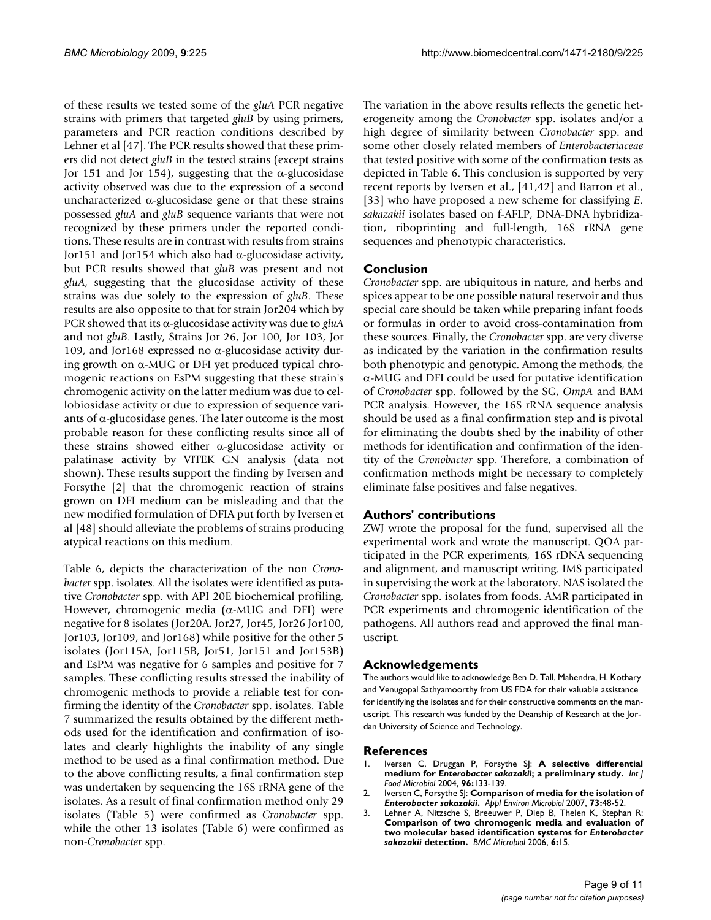of these results we tested some of the *gluA* PCR negative strains with primers that targeted *gluB* by using primers, parameters and PCR reaction conditions described by Lehner et al [\[47](#page-10-1)]. The PCR results showed that these primers did not detect *gluB* in the tested strains (except strains Jor 151 and Jor 154), suggesting that the  $\alpha$ -glucosidase activity observed was due to the expression of a second uncharacterized  $\alpha$ -glucosidase gene or that these strains possessed *gluA* and *gluB* sequence variants that were not recognized by these primers under the reported conditions. These results are in contrast with results from strains Jor151 and Jor154 which also had  $\alpha$ -glucosidase activity, but PCR results showed that *gluB* was present and not *gluA*, suggesting that the glucosidase activity of these strains was due solely to the expression of *gluB*. These results are also opposite to that for strain Jor204 which by PCR showed that its  $\alpha$ -glucosidase activity was due to *gluA* and not *gluB*. Lastly, Strains Jor 26, Jor 100, Jor 103, Jor 109, and Jor168 expressed no  $\alpha$ -glucosidase activity during growth on  $\alpha$ -MUG or DFI yet produced typical chromogenic reactions on EsPM suggesting that these strain's chromogenic activity on the latter medium was due to cellobiosidase activity or due to expression of sequence variants of  $\alpha$ -glucosidase genes. The later outcome is the most probable reason for these conflicting results since all of these strains showed either  $\alpha$ -glucosidase activity or palatinase activity by VITEK GN analysis (data not shown). These results support the finding by Iversen and Forsythe [[2](#page-8-1)] that the chromogenic reaction of strains grown on DFI medium can be misleading and that the new modified formulation of DFIA put forth by Iversen et al [[48](#page-10-2)] should alleviate the problems of strains producing atypical reactions on this medium.

Table [6,](#page-7-0) depicts the characterization of the non *Cronobacter* spp. isolates. All the isolates were identified as putative *Cronobacter* spp. with API 20E biochemical profiling. However, chromogenic media ( $\alpha$ -MUG and DFI) were negative for 8 isolates (Jor20A, Jor27, Jor45, Jor26 Jor100, Jor103, Jor109, and Jor168) while positive for the other 5 isolates (Jor115A, Jor115B, Jor51, Jor151 and Jor153B) and EsPM was negative for 6 samples and positive for 7 samples. These conflicting results stressed the inability of chromogenic methods to provide a reliable test for confirming the identity of the *Cronobacter* spp. isolates. Table [7](#page-7-1) summarized the results obtained by the different methods used for the identification and confirmation of isolates and clearly highlights the inability of any single method to be used as a final confirmation method. Due to the above conflicting results, a final confirmation step was undertaken by sequencing the 16S rRNA gene of the isolates. As a result of final confirmation method only 29 isolates (Table [5](#page-6-0)) were confirmed as *Cronobacter* spp. while the other 13 isolates (Table [6\)](#page-7-0) were confirmed as non-*Cronobacter* spp.

The variation in the above results reflects the genetic heterogeneity among the *Cronobacter* spp. isolates and/or a high degree of similarity between *Cronobacter* spp. and some other closely related members of *Enterobacteriaceae* that tested positive with some of the confirmation tests as depicted in Table [6](#page-7-0). This conclusion is supported by very recent reports by Iversen et al., [[41](#page-9-23),[42\]](#page-9-24) and Barron et al., [[33](#page-9-19)] who have proposed a new scheme for classifying *E. sakazakii* isolates based on f-AFLP, DNA-DNA hybridization, riboprinting and full-length, 16S rRNA gene sequences and phenotypic characteristics.

### **Conclusion**

*Cronobacter* spp. are ubiquitous in nature, and herbs and spices appear to be one possible natural reservoir and thus special care should be taken while preparing infant foods or formulas in order to avoid cross-contamination from these sources. Finally, the *Cronobacter* spp. are very diverse as indicated by the variation in the confirmation results both phenotypic and genotypic. Among the methods, the  $\alpha$ -MUG and DFI could be used for putative identification of *Cronobacter* spp. followed by the SG, *OmpA* and BAM PCR analysis. However, the 16S rRNA sequence analysis should be used as a final confirmation step and is pivotal for eliminating the doubts shed by the inability of other methods for identification and confirmation of the identity of the *Cronobacter* spp. Therefore, a combination of confirmation methods might be necessary to completely eliminate false positives and false negatives.

### **Authors' contributions**

ZWJ wrote the proposal for the fund, supervised all the experimental work and wrote the manuscript. QOA participated in the PCR experiments, 16S rDNA sequencing and alignment, and manuscript writing. IMS participated in supervising the work at the laboratory. NAS isolated the *Cronobacter* spp. isolates from foods. AMR participated in PCR experiments and chromogenic identification of the pathogens. All authors read and approved the final manuscript.

#### **Acknowledgements**

The authors would like to acknowledge Ben D. Tall, Mahendra, H. Kothary and Venugopal Sathyamoorthy from US FDA for their valuable assistance for identifying the isolates and for their constructive comments on the manuscript. This research was funded by the Deanship of Research at the Jordan University of Science and Technology.

#### **References**

- <span id="page-8-0"></span>1. Iversen C, Druggan P, Forsythe SJ: **A selective differential medium for** *Enterobacter sakazakii***[; a preliminary study.](http://www.ncbi.nlm.nih.gov/entrez/query.fcgi?cmd=Retrieve&db=PubMed&dopt=Abstract&list_uids=15364468)** *Int J Food Microbiol* 2004, **96:**133-139.
- <span id="page-8-1"></span>2. Iversen C, Forsythe SJ: **Comparison of media for the isolation of** *Enterobacter sakazakii***[.](http://www.ncbi.nlm.nih.gov/entrez/query.fcgi?cmd=Retrieve&db=PubMed&dopt=Abstract&list_uids=17071794)** *Appl Environ Microbiol* 2007, **73:**48-52.
- <span id="page-8-2"></span>3. Lehner A, Nitzsche S, Breeuwer P, Diep B, Thelen K, Stephan R: **Comparison of two chromogenic media and evaluation of two molecular based identification systems for** *Enterobacter sakazakii* **[detection.](http://www.ncbi.nlm.nih.gov/entrez/query.fcgi?cmd=Retrieve&db=PubMed&dopt=Abstract&list_uids=16504079)** *BMC Microbiol* 2006, **6:**15.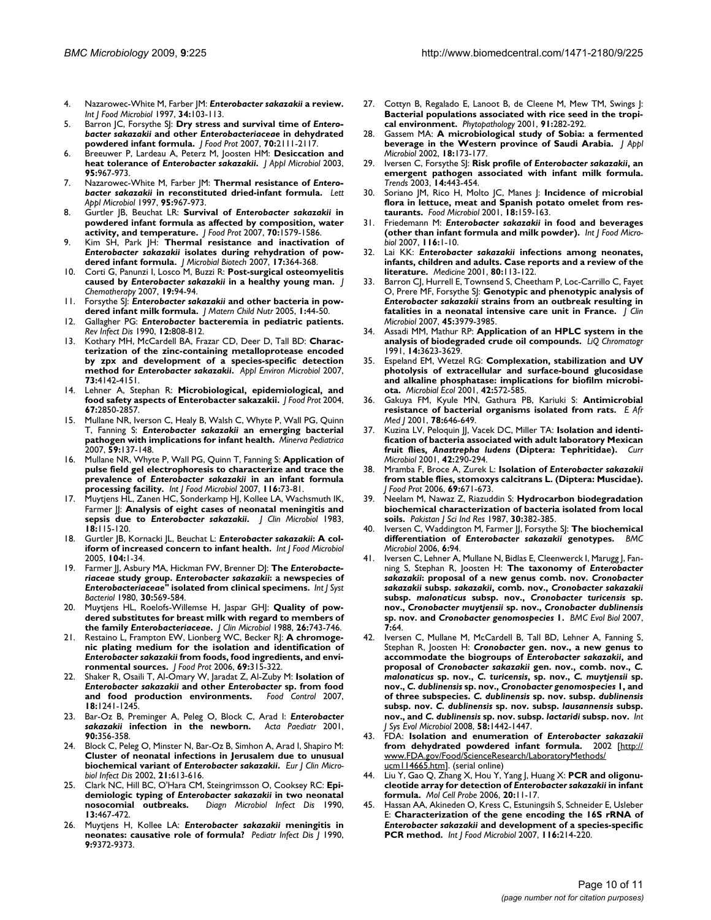- <span id="page-9-0"></span>4. Nazarowec-White M, Farber JM: *Enterobacter sakazakii* **[a review.](http://www.ncbi.nlm.nih.gov/entrez/query.fcgi?cmd=Retrieve&db=PubMed&dopt=Abstract&list_uids=9039558)** *Int J Food Microbiol* 1997, **34:**103-113.
- <span id="page-9-1"></span>5. Barron JC, Forsythe SJ: **Dry stress and survival time of** *Enterobacter sakazakii* **and other** *Enterobacteriaceae* **[in dehydrated](http://www.ncbi.nlm.nih.gov/entrez/query.fcgi?cmd=Retrieve&db=PubMed&dopt=Abstract&list_uids=17900090) [powdered infant formula.](http://www.ncbi.nlm.nih.gov/entrez/query.fcgi?cmd=Retrieve&db=PubMed&dopt=Abstract&list_uids=17900090)** *J Food Prot* 2007, **70:**2111-2117.
- <span id="page-9-3"></span>6. Breeuwer P, Lardeau A, Peterz M, Joosten HM: **Desiccation and heat tolerance of** *Enterobacter sakazakii***[.](http://www.ncbi.nlm.nih.gov/entrez/query.fcgi?cmd=Retrieve&db=PubMed&dopt=Abstract&list_uids=14633024)** *J Appl Microbiol* 2003, **95:**967-973.
- <span id="page-9-2"></span>7. Nazarowec-White M, Farber JM: **Thermal resistance of** *Enterobacter sakazakii* **in reconstituted dried-infant formula.** *Lett Appl Microbiol* 1997, **95:**967-973.
- <span id="page-9-4"></span>8. Gurtler JB, Beuchat LR: **Survival of** *Enterobacter sakazakii* **[in](http://www.ncbi.nlm.nih.gov/entrez/query.fcgi?cmd=Retrieve&db=PubMed&dopt=Abstract&list_uids=17685328) [powdered infant formula as affected by composition, water](http://www.ncbi.nlm.nih.gov/entrez/query.fcgi?cmd=Retrieve&db=PubMed&dopt=Abstract&list_uids=17685328) [activity, and temperature.](http://www.ncbi.nlm.nih.gov/entrez/query.fcgi?cmd=Retrieve&db=PubMed&dopt=Abstract&list_uids=17685328)** *J Food Prot* 2007, **70:**1579-1586.
- <span id="page-9-5"></span>9. Kim SH, Park JH: **Thermal resistance and inactivation of** *Enterobacter sakazakii* **isolates during rehydration of powdered infant formula.** *J Microbial Biotech* 2007, **17:**364-368.
- <span id="page-9-6"></span>10. Corti G, Panunzi I, Losco M, Buzzi R: **Post-surgical osteomyelitis caused by** *Enterobacter sakazakii* **in a healthy young man.** *J Chemotherapy* 2007, **19:**94-94.
- <span id="page-9-11"></span>11. Forsythe SJ: *Enterobacter sakazakii* **and other bacteria in powdered infant milk formula.** *J Matern Child Nutr* 2005, **1:**44-50.
- <span id="page-9-8"></span>12. Gallagher PG: *Enterobacter* **[bacteremia in pediatric patients.](http://www.ncbi.nlm.nih.gov/entrez/query.fcgi?cmd=Retrieve&db=PubMed&dopt=Abstract&list_uids=2237121)** *Rev Infect Dis* 1990, **12:**808-812.
- <span id="page-9-29"></span>13. Kothary MH, McCardell BA, Frazar CD, Deer D, Tall BD: **Characterization of the zinc-containing metalloprotease encoded by zpx and development of a species-specific detection method for** *Enterobacter sakazakii***[.](http://www.ncbi.nlm.nih.gov/entrez/query.fcgi?cmd=Retrieve&db=PubMed&dopt=Abstract&list_uids=17483271)** *Appl Environ Microbiol* 2007, **73:**4142-4151.
- <span id="page-9-9"></span>14. Lehner A, Stephan R: **[Microbiological, epidemiological, and](http://www.ncbi.nlm.nih.gov/entrez/query.fcgi?cmd=Retrieve&db=PubMed&dopt=Abstract&list_uids=15633700) [food safety aspects of Enterobacter sakazakii.](http://www.ncbi.nlm.nih.gov/entrez/query.fcgi?cmd=Retrieve&db=PubMed&dopt=Abstract&list_uids=15633700)** *J Food Prot* 2004, **67:**2850-2857.
- 15. Mullane NR, Iverson C, Healy B, Walsh C, Whyte P, Wall PG, Quinn T, Fanning S: *Enterobacter sakazakii* **[an emerging bacterial](http://www.ncbi.nlm.nih.gov/entrez/query.fcgi?cmd=Retrieve&db=PubMed&dopt=Abstract&list_uids=17404564) [pathogen with implications for infant health.](http://www.ncbi.nlm.nih.gov/entrez/query.fcgi?cmd=Retrieve&db=PubMed&dopt=Abstract&list_uids=17404564)** *Minerva Pediatrica* 2007, **59:**137-148.
- <span id="page-9-30"></span>16. Mullane NR, Whyte P, Wall PG, Quinn T, Fanning S: **Application of pulse field gel electrophoresis to characterize and trace the prevalence of** *Enterobacter sakazakii* **[in an infant formula](http://www.ncbi.nlm.nih.gov/entrez/query.fcgi?cmd=Retrieve&db=PubMed&dopt=Abstract&list_uids=17307267) [processing facility.](http://www.ncbi.nlm.nih.gov/entrez/query.fcgi?cmd=Retrieve&db=PubMed&dopt=Abstract&list_uids=17307267)** *Int J Food Microbiol* 2007, **116:**73-81.
- <span id="page-9-7"></span>17. Muytjens HL, Zanen HC, Sonderkamp HJ, Kollee LA, Wachsmuth IK, Farmer JJ: **Analysis of eight cases of neonatal meningitis and sepsis due to** *Enterobacter sakazakii***[.](http://www.ncbi.nlm.nih.gov/entrez/query.fcgi?cmd=Retrieve&db=PubMed&dopt=Abstract&list_uids=6885983)** *J Clin Microbiol* 1983, **18:**115-120.
- <span id="page-9-10"></span>18. Gurtler |B, Kornacki |L, Beuchat L: *Enterobacter sakazakii*[: A col](http://www.ncbi.nlm.nih.gov/entrez/query.fcgi?cmd=Retrieve&db=PubMed&dopt=Abstract&list_uids=16039742)**[iform of increased concern to infant health.](http://www.ncbi.nlm.nih.gov/entrez/query.fcgi?cmd=Retrieve&db=PubMed&dopt=Abstract&list_uids=16039742)** *Int J Food Microbiol* 2005, **104:**1-34.
- <span id="page-9-12"></span>19. Farmer JJ, Asbury MA, Hickman FW, Brenner DJ: **The** *Enterobacteriaceae* **study group.** *Enterobacter sakazakii***: a newspecies of** *Enterobacteriaceae'***' isolated from clinical specimens.** *Int J Syst Bacteriol* 1980, **30:**569-584.
- 20. Muytjens HL, Roelofs-Willemse H, Jaspar GHJ: **Quality of powdered substitutes for breast milk with regard to members of the family** *Enterobacteriaceae***[.](http://www.ncbi.nlm.nih.gov/entrez/query.fcgi?cmd=Retrieve&db=PubMed&dopt=Abstract&list_uids=3284901)** *J Clin Microbiol* 1988, **26:**743-746.
- <span id="page-9-26"></span>21. Restaino L, Frampton EW, Lionberg WC, Becker RJ: **A chromogenic plating medium for the isolation and identification of** *Enterobacter sakazakii* **[from foods, food ingredients, and envi](http://www.ncbi.nlm.nih.gov/entrez/query.fcgi?cmd=Retrieve&db=PubMed&dopt=Abstract&list_uids=16496571)[ronmental sources.](http://www.ncbi.nlm.nih.gov/entrez/query.fcgi?cmd=Retrieve&db=PubMed&dopt=Abstract&list_uids=16496571)** *J Food Prot* 2006, **69:**315-322.
- <span id="page-9-13"></span>22. Shaker R, Osaili T, Al-Omary W, Jaradat Z, Al-Zuby M: **Isolation of** *Enterobacter sakazakii* **and other** *Enterobacter* **sp. from food and food production environments.** *Food Control* 2007, **18:**1241-1245.
- <span id="page-9-14"></span>Bar-Oz B, Preminger A, Peleg O, Block C, Arad I: *Enterobacter sakazakii* **[infection in the newborn.](http://www.ncbi.nlm.nih.gov/entrez/query.fcgi?cmd=Retrieve&db=PubMed&dopt=Abstract&list_uids=11332182)** *Acta Paediatr* 2001, **90:**356-358.
- 24. Block C, Peleg O, Minster N, Bar-Oz B, Simhon A, Arad I, Shapiro M: **Cluster of neonatal infections in Jerusalem due to unusual biochemical variant of** *Enterobacter sakazakii***[.](http://www.ncbi.nlm.nih.gov/entrez/query.fcgi?cmd=Retrieve&db=PubMed&dopt=Abstract&list_uids=12226694)** *Eur J Clin Microbiol Infect Dis* 2002, **21:**613-616.
- 25. Clark NC, Hill BC, O'Hara CM, Steingrimsson O, Cooksey RC: **Epidemiologic typing of** *Enterobacter sakazakii* **[in two neonatal](http://www.ncbi.nlm.nih.gov/entrez/query.fcgi?cmd=Retrieve&db=PubMed&dopt=Abstract&list_uids=2279379) [nosocomial outbreaks.](http://www.ncbi.nlm.nih.gov/entrez/query.fcgi?cmd=Retrieve&db=PubMed&dopt=Abstract&list_uids=2279379)** *Diagn Microbiol Infect Dis* 1990, **13:**467-472.
- <span id="page-9-15"></span>26. Muytjens H, Kollee LA: *Enterobacter sakazakii* **meningitis in neonates: causative role of formula?** *Pediatr Infect Dis J* 1990, **9:**9372-9373.
- <span id="page-9-16"></span>27. Cottyn B, Regalado E, Lanoot B, de Cleene M, Mew TM, Swings J: **[Bacterial populations associated with rice seed in the tropi](http://www.ncbi.nlm.nih.gov/entrez/query.fcgi?cmd=Retrieve&db=PubMed&dopt=Abstract&list_uids=18943348)[cal environment.](http://www.ncbi.nlm.nih.gov/entrez/query.fcgi?cmd=Retrieve&db=PubMed&dopt=Abstract&list_uids=18943348)** *Phytopathology* 2001, **91:**282-292.
- 28. Gassem MA: **A microbiological study of Sobia: a fermented beverage in the Western province of Saudi Arabia.** *J Appl Microbiol* 2002, **18:**173-177.
- 29. Iversen C, Forsythe SJ: **Risk profile of** *Enterobacter sakazakii***, an emergent pathogen associated with infant milk formula.** *Trends* 2003, **14:**443-454.
- 30. Soriano JM, Rico H, Molto JC, Manes J: **Incidence of microbial flora in lettuce, meat and Spanish potato omelet from restaurants.** *Food Microbiol* 2001, **18:**159-163.
- <span id="page-9-17"></span>31. Friedemann M: *Enterobacter sakazakii* **[in food and beverages](http://www.ncbi.nlm.nih.gov/entrez/query.fcgi?cmd=Retrieve&db=PubMed&dopt=Abstract&list_uids=17331606) [\(other than infant formula and milk powder\).](http://www.ncbi.nlm.nih.gov/entrez/query.fcgi?cmd=Retrieve&db=PubMed&dopt=Abstract&list_uids=17331606)** *Int J Food Microbiol* 2007, **116:**1-10.
- <span id="page-9-18"></span>32. Lai KK: *Enterobacter sakazakii* **[infections among neonates,](http://www.ncbi.nlm.nih.gov/entrez/query.fcgi?cmd=Retrieve&db=PubMed&dopt=Abstract&list_uids=11307587) [infants, children and adults. Case reports and a review of the](http://www.ncbi.nlm.nih.gov/entrez/query.fcgi?cmd=Retrieve&db=PubMed&dopt=Abstract&list_uids=11307587) [literature.](http://www.ncbi.nlm.nih.gov/entrez/query.fcgi?cmd=Retrieve&db=PubMed&dopt=Abstract&list_uids=11307587)** *Medicine* 2001, **80:**113-122.
- <span id="page-9-19"></span>33. Barron CJ, Hurrell E, Townsend S, Cheetham P, Loc-Carrillo C, Fayet O, Prere MF, Forsythe SJ: **Genotypic and phenotypic analysis of** *Enterobacter sakazakii* **[strains from an outbreak resulting in](http://www.ncbi.nlm.nih.gov/entrez/query.fcgi?cmd=Retrieve&db=PubMed&dopt=Abstract&list_uids=17928419) [fatalities in a neonatal intensive care unit in France.](http://www.ncbi.nlm.nih.gov/entrez/query.fcgi?cmd=Retrieve&db=PubMed&dopt=Abstract&list_uids=17928419)** *J Clin Microbiol* 2007, **45:**3979-3985.
- <span id="page-9-20"></span>34. Assadi MM, Mathur RP: **Application of an HPLC system in the analysis of biodegraded crude oil compounds.** *LiQ Chromatogr* 1991, **14:**3623-3629.
- 35. Espeland EM, Wetzel RG: **Complexation, stabilization and UV photolysis of extracellular and surface-bound glucosidase and alkaline phosphatase: implications for biofilm microbiota.** *Microbial Ecol* 2001, **42:**572-585.
- 36. Gakuya FM, Kyule MN, Gathura PB, Kariuki S: **Antimicrobial resistance of bacterial organisms isolated from rats.** *E Afr Med J* 2001, **78:**646-649.
- 37. Kuzina LV, Peloquin JJ, Vacek DC, Miller TA: **Isolation and identification of bacteria associated with adult laboratory Mexican fruit flies,** *Anastrepha ludens* **[\(Diptera: Tephritidae\).](http://www.ncbi.nlm.nih.gov/entrez/query.fcgi?cmd=Retrieve&db=PubMed&dopt=Abstract&list_uids=11178731)** *Curr Microbiol* 2001, **42:**290-294.
- 38. Mramba F, Broce A, Zurek L: **Isolation of** *Enterobacter sakazakii* **[from stable flies, stomoxys calcitrans L. \(Diptera: Muscidae\).](http://www.ncbi.nlm.nih.gov/entrez/query.fcgi?cmd=Retrieve&db=PubMed&dopt=Abstract&list_uids=16541702)** *J Food Prot* 2006, **69:**671-673.
- <span id="page-9-21"></span>39. Neelam M, Nawaz Z, Riazuddin S: **Hydrocarbon biodegradation biochemical characterization of bacteria isolated from local soils.** *Pakistan J Sci Ind Res* 1987, **30:**382-385.
- <span id="page-9-22"></span>40. Iversen C, Waddington M, Farmer JJ, Forsythe SJ: **The biochemical differentiation of** *Enterobacter sakazakii* **[genotypes.](http://www.ncbi.nlm.nih.gov/entrez/query.fcgi?cmd=Retrieve&db=PubMed&dopt=Abstract&list_uids=17067387)** *BMC Microbiol* 2006, **6:**94.
- <span id="page-9-23"></span>41. Iversen C, Lehner A, Mullane N, Bidlas E, Cleenwerck I, Marugg J, Fanning S, Stephan R, Joosten H: **The taxonomy of** *Enterobacter sakazakii***: proposal of a new genus comb. nov.** *Cronobacter sakazakii* **subsp.** *sakazakii***, comb. nov.,** *Cronobacter sakazakii* **subsp.** *malonaticus* **subsp. nov.,** *Cronobacter turicensis* **sp. nov.,** *Cronobacter muytjensii* **sp. nov.,** *Cronobacter dublinensis* **sp. nov. and** *Cronobacter genomospecies* **[1.](http://www.ncbi.nlm.nih.gov/entrez/query.fcgi?cmd=Retrieve&db=PubMed&dopt=Abstract&list_uids=17439656)** *BMC Evol Biol* 2007, **7:**64.
- <span id="page-9-24"></span>42. Iversen C, Mullane M, McCardell B, Tall BD, Lehner A, Fanning S, Stephan R, Joosten H: *Cronobacter* **gen. nov., a new genus to accommodate the biogroups of** *Enterobacter sakazakii***, and proposal of** *Cronobacter sakazakii* **gen. nov., comb. nov.,** *C. malonaticus* **sp. nov.,** *C. turicensis***, sp. nov.,** *C. muytjensii* **sp. nov.,** *C. dublinensis* **sp. nov.,** *Cronobacter genomospecies* **1, and of three subspecies.** *C. dublinensis* **sp. nov. subsp.** *dublinensis* **subsp. nov.** *C. dublinensis* **sp. nov. subsp.** *lausannensis* **subsp. nov., and** *C. dublinensis* **sp. nov. subsp.** *lactaridi* **subsp. nov.** *Int J Sys Evol Microbiol* 2008, **58:**1442-1447.
- <span id="page-9-25"></span>43. FDA: **Isolation and enumeration of** *Enterobacter sakazakii* **from dehydrated powdered infant formula.** 2002 [\[http://](http://www.FDA.gov/Food/ScienceResearch/LaboratoryMethods/ucm114665.htm) [www.FDA.gov/Food/ScienceResearch/LaboratoryMethods/](http://www.FDA.gov/Food/ScienceResearch/LaboratoryMethods/ucm114665.htm) [ucm114665.htm](http://www.FDA.gov/Food/ScienceResearch/LaboratoryMethods/ucm114665.htm)]. (serial online)
- <span id="page-9-27"></span>44. Liu Y, Gao Q, Zhang X, Hou Y, Yang J, Huang X: **PCR and oligonucleotide array for detection of** *Enterobacter sakazakii* **in infant formula.** *Mol Cell Probe* 2006, **20:**11-17.
- <span id="page-9-28"></span>Hassan AA, Akineden O, Kress C, Estuningsih S, Schneider E, Usleber E: **Characterization of the gene encoding the 16S rRNA of** *Enterobacter sakazakii* **[and development of a species-specific](http://www.ncbi.nlm.nih.gov/entrez/query.fcgi?cmd=Retrieve&db=PubMed&dopt=Abstract&list_uids=17289198) [PCR method.](http://www.ncbi.nlm.nih.gov/entrez/query.fcgi?cmd=Retrieve&db=PubMed&dopt=Abstract&list_uids=17289198)** *Int J Food Microbiol* 2007, **116:**214-220.